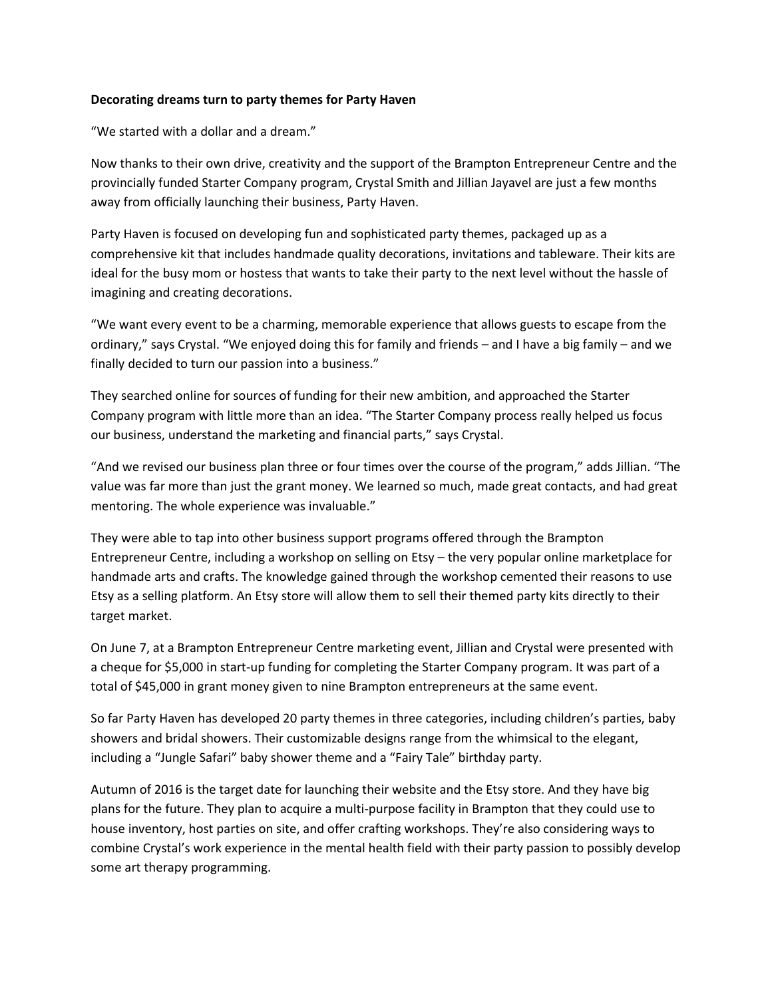## **Decorating dreams turn to party themes for Party Haven**

"We started with a dollar and a dream."

Now thanks to their own drive, creativity and the support of the Brampton Entrepreneur Centre and the provincially funded Starter Company program, Crystal Smith and Jillian Jayavel are just a few months away from officially launching their business, Party Haven.

Party Haven is focused on developing fun and sophisticated party themes, packaged up as a comprehensive kit that includes handmade quality decorations, invitations and tableware. Their kits are ideal for the busy mom or hostess that wants to take their party to the next level without the hassle of imagining and creating decorations.

"We want every event to be a charming, memorable experience that allows guests to escape from the ordinary," says Crystal. "We enjoyed doing this for family and friends – and I have a big family – and we finally decided to turn our passion into a business."

They searched online for sources of funding for their new ambition, and approached the Starter Company program with little more than an idea. "The Starter Company process really helped us focus our business, understand the marketing and financial parts," says Crystal.

"And we revised our business plan three or four times over the course of the program," adds Jillian. "The value was far more than just the grant money. We learned so much, made great contacts, and had great mentoring. The whole experience was invaluable."

They were able to tap into other business support programs offered through the Brampton Entrepreneur Centre, including a workshop on selling on Etsy – the very popular online marketplace for handmade arts and crafts. The knowledge gained through the workshop cemented their reasons to use Etsy as a selling platform. An Etsy store will allow them to sell their themed party kits directly to their target market.

On June 7, at a Brampton Entrepreneur Centre marketing event, Jillian and Crystal were presented with a cheque for \$5,000 in start-up funding for completing the Starter Company program. It was part of a total of \$45,000 in grant money given to nine Brampton entrepreneurs at the same event.

So far Party Haven has developed 20 party themes in three categories, including children's parties, baby showers and bridal showers. Their customizable designs range from the whimsical to the elegant, including a "Jungle Safari" baby shower theme and a "Fairy Tale" birthday party.

Autumn of 2016 is the target date for launching their website and the Etsy store. And they have big plans for the future. They plan to acquire a multi-purpose facility in Brampton that they could use to house inventory, host parties on site, and offer crafting workshops. They're also considering ways to combine Crystal's work experience in the mental health field with their party passion to possibly develop some art therapy programming.